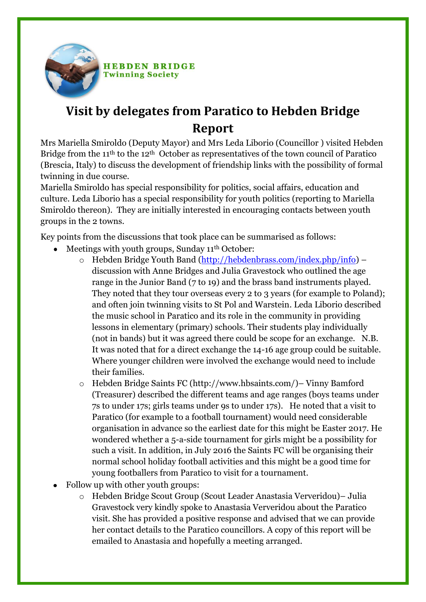

**HEBDEN BRIDGE Twinning Society** 

## **Visit by delegates from Paratico to Hebden Bridge Report**

Mrs Mariella Smiroldo (Deputy Mayor) and Mrs Leda Liborio (Councillor ) visited Hebden Bridge from the 11<sup>th</sup> to the 12<sup>th</sup> October as representatives of the town council of Paratico (Brescia, Italy) to discuss the development of friendship links with the possibility of formal twinning in due course.

Mariella Smiroldo has special responsibility for politics, social affairs, education and culture. Leda Liborio has a special responsibility for youth politics (reporting to Mariella Smiroldo thereon). They are initially interested in encouraging contacts between youth groups in the 2 towns.

Key points from the discussions that took place can be summarised as follows:

- Meetings with youth groups, Sunday 11<sup>th</sup> October:
	- o Hebden Bridge Youth Band [\(http://hebdenbrass.com/index.php/info\)](http://hebdenbrass.com/index.php/info) discussion with Anne Bridges and Julia Gravestock who outlined the age range in the Junior Band (7 to 19) and the brass band instruments played. They noted that they tour overseas every 2 to 3 years (for example to Poland); and often join twinning visits to St Pol and Warstein. Leda Liborio described the music school in Paratico and its role in the community in providing lessons in elementary (primary) schools. Their students play individually (not in bands) but it was agreed there could be scope for an exchange. N.B. It was noted that for a direct exchange the 14-16 age group could be suitable. Where younger children were involved the exchange would need to include their families.
	- o Hebden Bridge Saints FC (http://www.hbsaints.com/)– Vinny Bamford (Treasurer) described the different teams and age ranges (boys teams under 7s to under 17s; girls teams under 9s to under 17s). He noted that a visit to Paratico (for example to a football tournament) would need considerable organisation in advance so the earliest date for this might be Easter 2017. He wondered whether a 5-a-side tournament for girls might be a possibility for such a visit. In addition, in July 2016 the Saints FC will be organising their normal school holiday football activities and this might be a good time for young footballers from Paratico to visit for a tournament.
- Follow up with other youth groups:
	- o Hebden Bridge Scout Group (Scout Leader Anastasia Ververidou)– Julia Gravestock very kindly spoke to Anastasia Ververidou about the Paratico visit. She has provided a positive response and advised that we can provide her contact details to the Paratico councillors. A copy of this report will be emailed to Anastasia and hopefully a meeting arranged.